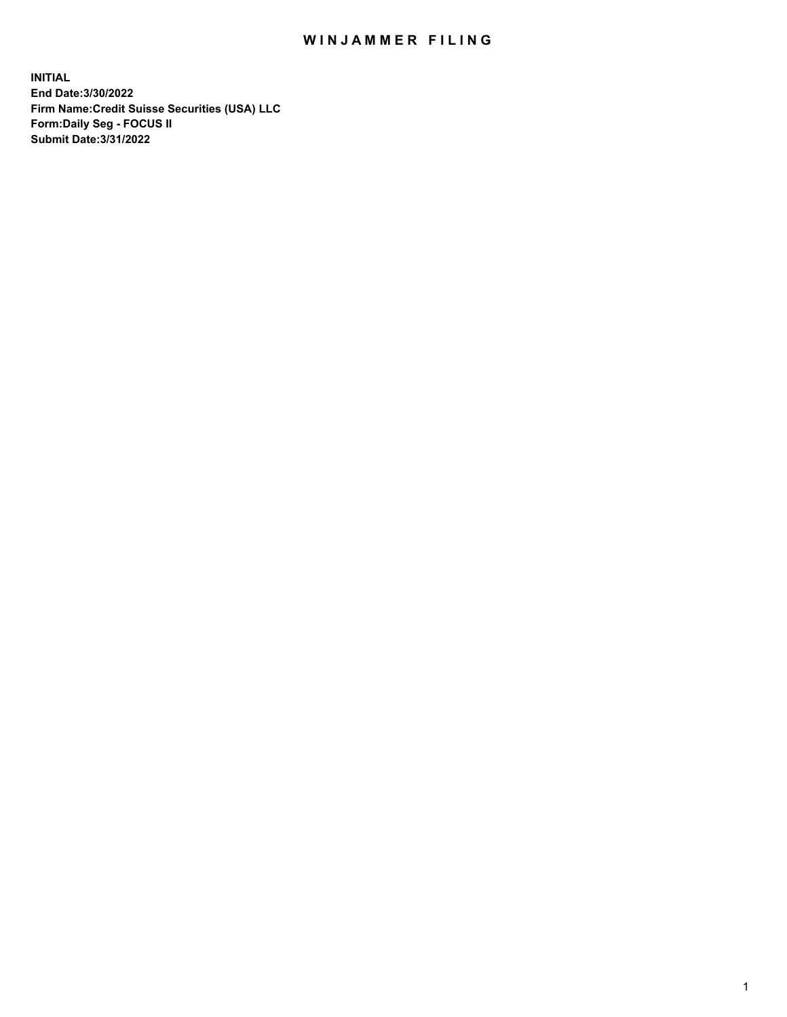## WIN JAMMER FILING

**INITIAL End Date:3/30/2022 Firm Name:Credit Suisse Securities (USA) LLC Form:Daily Seg - FOCUS II Submit Date:3/31/2022**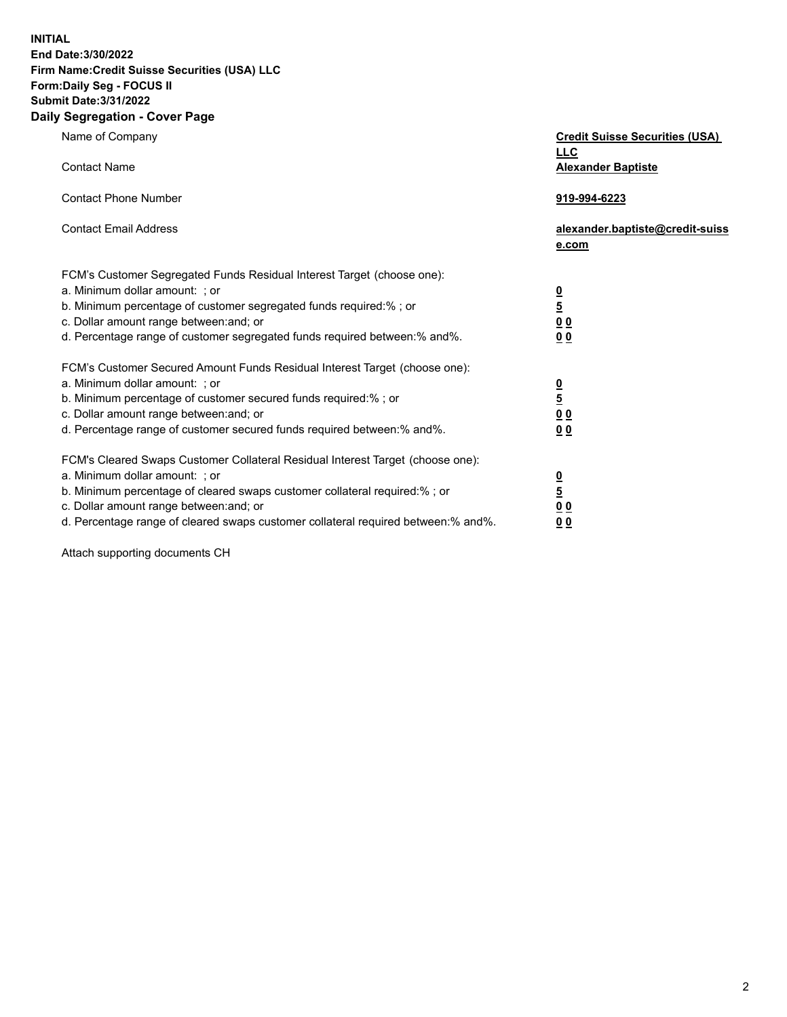**INITIAL End Date:3/30/2022** 

## **Firm Name:Credit Suisse Securities (USA) LLC Form:Daily Seg - FOCUS II Submit Date:3/31/2022**

## **Daily Segregation - Cover Page**

| Name of Company                                                                                                                                                                                                                                                                                                                | <b>Credit Suisse Securities (USA)</b><br><b>LLC</b>                   |
|--------------------------------------------------------------------------------------------------------------------------------------------------------------------------------------------------------------------------------------------------------------------------------------------------------------------------------|-----------------------------------------------------------------------|
| <b>Contact Name</b>                                                                                                                                                                                                                                                                                                            | <b>Alexander Baptiste</b>                                             |
| <b>Contact Phone Number</b>                                                                                                                                                                                                                                                                                                    | 919-994-6223                                                          |
| <b>Contact Email Address</b>                                                                                                                                                                                                                                                                                                   | alexander.baptiste@credit-suiss<br>e.com                              |
| FCM's Customer Segregated Funds Residual Interest Target (choose one):<br>a. Minimum dollar amount: ; or<br>b. Minimum percentage of customer segregated funds required:% ; or<br>c. Dollar amount range between: and; or<br>d. Percentage range of customer segregated funds required between:% and%.                         | $\frac{\frac{0}{5}}{\frac{0}{0}}$<br>0 <sub>0</sub>                   |
| FCM's Customer Secured Amount Funds Residual Interest Target (choose one):<br>a. Minimum dollar amount: ; or<br>b. Minimum percentage of customer secured funds required:%; or<br>c. Dollar amount range between: and; or<br>d. Percentage range of customer secured funds required between:% and%.                            | $\frac{0}{5}$<br>$\underline{0}$<br>$\underline{0}$<br>0 <sub>0</sub> |
| FCM's Cleared Swaps Customer Collateral Residual Interest Target (choose one):<br>a. Minimum dollar amount: ; or<br>b. Minimum percentage of cleared swaps customer collateral required:% ; or<br>c. Dollar amount range between: and; or<br>d. Percentage range of cleared swaps customer collateral required between:% and%. | $\frac{0}{5}$<br>0 <sub>0</sub><br>0 <sub>0</sub>                     |

Attach supporting documents CH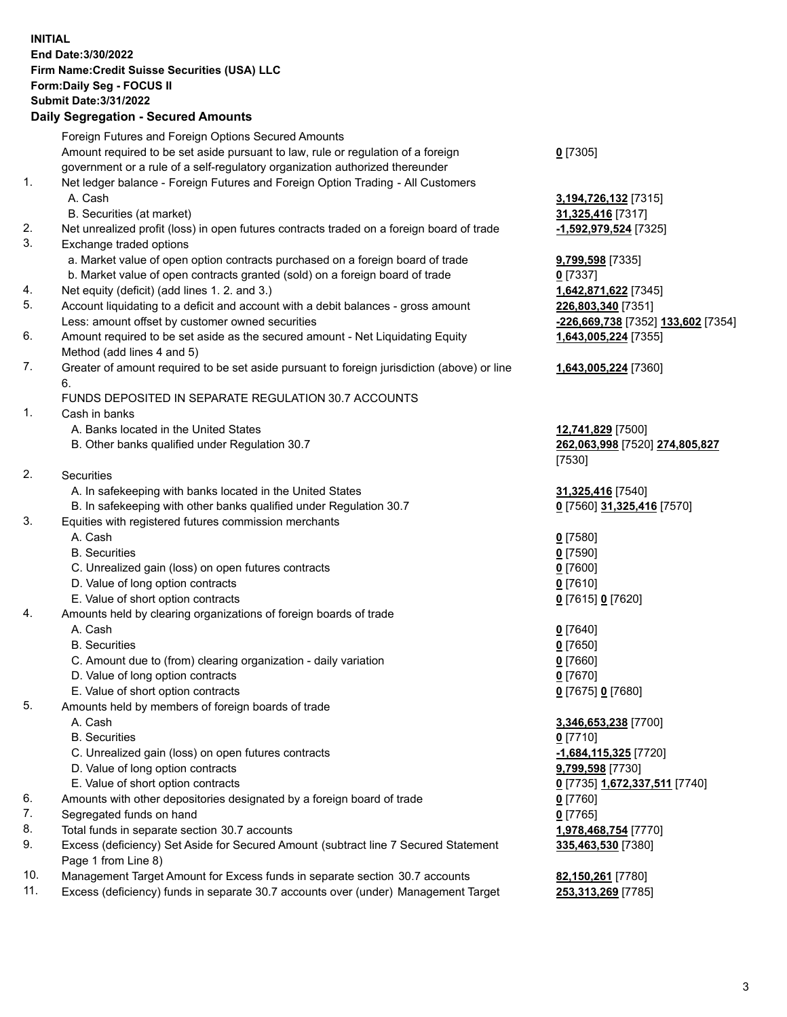**INITIAL End Date:3/30/2022 Firm Name:Credit Suisse Securities (USA) LLC Form:Daily Seg - FOCUS II Submit Date:3/31/2022**

## **Daily Segregation - Secured Amounts**

|     | Foreign Futures and Foreign Options Secured Amounts                                         |                                    |
|-----|---------------------------------------------------------------------------------------------|------------------------------------|
|     | Amount required to be set aside pursuant to law, rule or regulation of a foreign            | $0$ [7305]                         |
|     | government or a rule of a self-regulatory organization authorized thereunder                |                                    |
| 1.  | Net ledger balance - Foreign Futures and Foreign Option Trading - All Customers             |                                    |
|     | A. Cash                                                                                     | 3,194,726,132 [7315]               |
|     | B. Securities (at market)                                                                   | 31,325,416 [7317]                  |
| 2.  | Net unrealized profit (loss) in open futures contracts traded on a foreign board of trade   | -1,592,979,524 [7325]              |
| 3.  | Exchange traded options                                                                     |                                    |
|     | a. Market value of open option contracts purchased on a foreign board of trade              | 9,799,598 [7335]                   |
|     | b. Market value of open contracts granted (sold) on a foreign board of trade                | $0$ [7337]                         |
| 4.  | Net equity (deficit) (add lines 1. 2. and 3.)                                               | 1,642,871,622 [7345]               |
| 5.  | Account liquidating to a deficit and account with a debit balances - gross amount           | 226,803,340 [7351]                 |
|     | Less: amount offset by customer owned securities                                            | -226,669,738 [7352] 133,602 [7354] |
| 6.  | Amount required to be set aside as the secured amount - Net Liquidating Equity              | 1,643,005,224 [7355]               |
|     | Method (add lines 4 and 5)                                                                  |                                    |
| 7.  | Greater of amount required to be set aside pursuant to foreign jurisdiction (above) or line | 1,643,005,224 [7360]               |
|     | 6.                                                                                          |                                    |
|     | FUNDS DEPOSITED IN SEPARATE REGULATION 30.7 ACCOUNTS                                        |                                    |
| 1.  | Cash in banks                                                                               |                                    |
|     | A. Banks located in the United States                                                       | 12,741,829 [7500]                  |
|     | B. Other banks qualified under Regulation 30.7                                              | 262,063,998 [7520] 274,805,827     |
|     |                                                                                             | [7530]                             |
| 2.  | <b>Securities</b>                                                                           |                                    |
|     | A. In safekeeping with banks located in the United States                                   | 31,325,416 [7540]                  |
|     | B. In safekeeping with other banks qualified under Regulation 30.7                          | 0 [7560] 31,325,416 [7570]         |
| 3.  | Equities with registered futures commission merchants                                       |                                    |
|     | A. Cash                                                                                     | $0$ [7580]                         |
|     | <b>B.</b> Securities                                                                        | $0$ [7590]                         |
|     | C. Unrealized gain (loss) on open futures contracts                                         | $0$ [7600]                         |
|     | D. Value of long option contracts                                                           | $0$ [7610]                         |
|     | E. Value of short option contracts                                                          | 0 [7615] 0 [7620]                  |
| 4.  | Amounts held by clearing organizations of foreign boards of trade                           |                                    |
|     | A. Cash                                                                                     | $0$ [7640]                         |
|     | <b>B.</b> Securities                                                                        | $0$ [7650]                         |
|     | C. Amount due to (from) clearing organization - daily variation                             | $0$ [7660]                         |
|     | D. Value of long option contracts                                                           | $0$ [7670]                         |
|     | E. Value of short option contracts                                                          | 0 [7675] 0 [7680]                  |
| 5.  | Amounts held by members of foreign boards of trade                                          |                                    |
|     | A. Cash                                                                                     | 3,346,653,238 [7700]               |
|     | <b>B.</b> Securities                                                                        | $0$ [7710]                         |
|     | C. Unrealized gain (loss) on open futures contracts                                         | $-1,684,115,325$ [7720]            |
|     | D. Value of long option contracts                                                           | 9,799,598 [7730]                   |
|     | E. Value of short option contracts                                                          | 0 [7735] 1,672,337,511 [7740]      |
| 6.  | Amounts with other depositories designated by a foreign board of trade                      | $0$ [7760]                         |
| 7.  | Segregated funds on hand                                                                    | $0$ [7765]                         |
| 8.  | Total funds in separate section 30.7 accounts                                               | 1,978,468,754 [7770]               |
| 9.  | Excess (deficiency) Set Aside for Secured Amount (subtract line 7 Secured Statement         | 335,463,530 [7380]                 |
|     | Page 1 from Line 8)                                                                         |                                    |
| 10. | Management Target Amount for Excess funds in separate section 30.7 accounts                 | 82,150,261 [7780]                  |
|     |                                                                                             |                                    |

11. Excess (deficiency) funds in separate 30.7 accounts over (under) Management Target **253,313,269** [7785]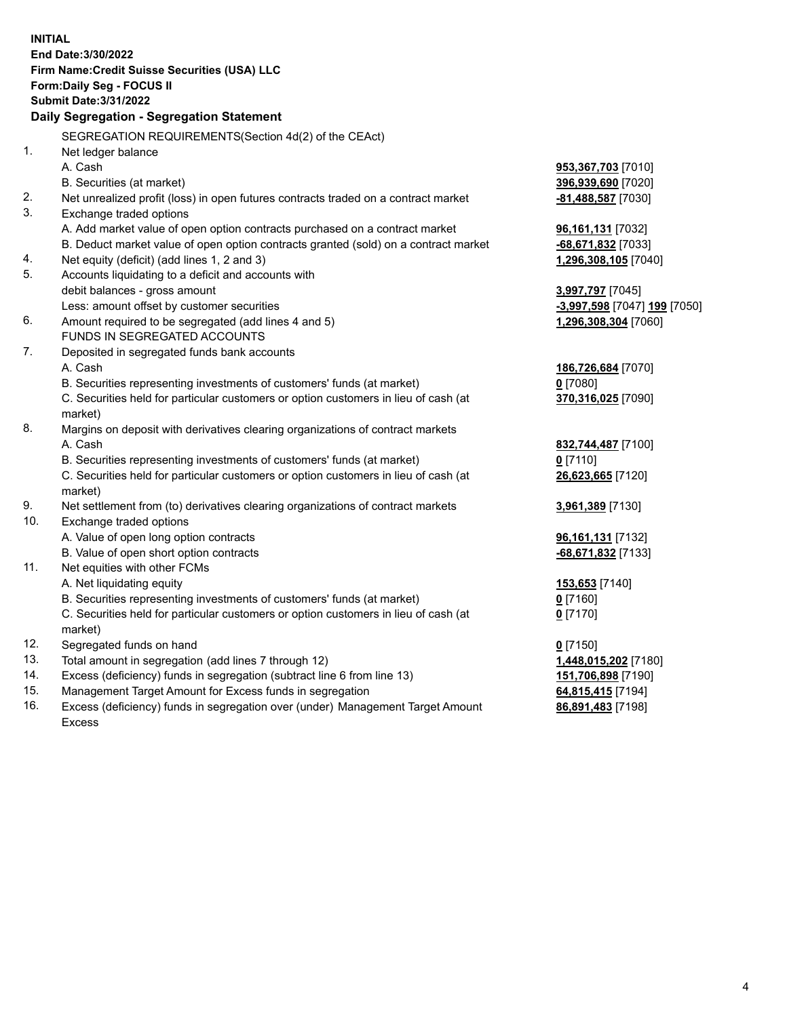**INITIAL End Date:3/30/2022 Firm Name:Credit Suisse Securities (USA) LLC Form:Daily Seg - FOCUS II Submit Date:3/31/2022 Daily Segregation - Segregation Statement** SEGREGATION REQUIREMENTS(Section 4d(2) of the CEAct) 1. Net ledger balance A. Cash **953,367,703** [7010] B. Securities (at market) **396,939,690** [7020] 2. Net unrealized profit (loss) in open futures contracts traded on a contract market **-81,488,587** [7030] 3. Exchange traded options A. Add market value of open option contracts purchased on a contract market **96,161,131** [7032] B. Deduct market value of open option contracts granted (sold) on a contract market **-68,671,832** [7033] 4. Net equity (deficit) (add lines 1, 2 and 3) **1,296,308,105** [7040] 5. Accounts liquidating to a deficit and accounts with debit balances - gross amount **3,997,797** [7045] Less: amount offset by customer securities **-3,997,598** [7047] **199** [7050] 6. Amount required to be segregated (add lines 4 and 5) **1,296,308,304** [7060] FUNDS IN SEGREGATED ACCOUNTS 7. Deposited in segregated funds bank accounts A. Cash **186,726,684** [7070] B. Securities representing investments of customers' funds (at market) **0** [7080] C. Securities held for particular customers or option customers in lieu of cash (at market) **370,316,025** [7090] 8. Margins on deposit with derivatives clearing organizations of contract markets A. Cash **832,744,487** [7100] B. Securities representing investments of customers' funds (at market) **0** [7110] C. Securities held for particular customers or option customers in lieu of cash (at market) **26,623,665** [7120] 9. Net settlement from (to) derivatives clearing organizations of contract markets **3,961,389** [7130] 10. Exchange traded options A. Value of open long option contracts **96,161,131** [7132] B. Value of open short option contracts **-68,671,832** [7133] 11. Net equities with other FCMs A. Net liquidating equity **153,653** [7140] B. Securities representing investments of customers' funds (at market) **0** [7160] C. Securities held for particular customers or option customers in lieu of cash (at market) **0** [7170] 12. Segregated funds on hand **0** [7150] 13. Total amount in segregation (add lines 7 through 12) **1,448,015,202** [7180] 14. Excess (deficiency) funds in segregation (subtract line 6 from line 13) **151,706,898** [7190] 15. Management Target Amount for Excess funds in segregation **64,815,415** [7194] **86,891,483** [7198]

16. Excess (deficiency) funds in segregation over (under) Management Target Amount Excess